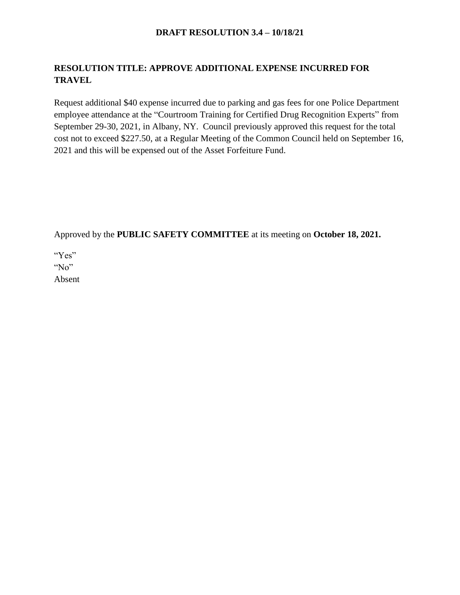### **DRAFT RESOLUTION 3.4 – 10/18/21**

# **RESOLUTION TITLE: APPROVE ADDITIONAL EXPENSE INCURRED FOR TRAVEL**

Request additional \$40 expense incurred due to parking and gas fees for one Police Department employee attendance at the "Courtroom Training for Certified Drug Recognition Experts" from September 29-30, 2021, in Albany, NY. Council previously approved this request for the total cost not to exceed \$227.50, at a Regular Meeting of the Common Council held on September 16, 2021 and this will be expensed out of the Asset Forfeiture Fund.

Approved by the **PUBLIC SAFETY COMMITTEE** at its meeting on **October 18, 2021.**

"Yes" "No" Absent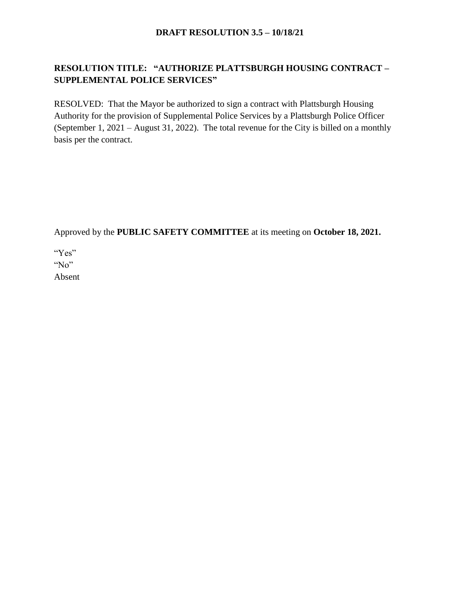### **DRAFT RESOLUTION 3.5 – 10/18/21**

# **RESOLUTION TITLE: "AUTHORIZE PLATTSBURGH HOUSING CONTRACT – SUPPLEMENTAL POLICE SERVICES"**

RESOLVED: That the Mayor be authorized to sign a contract with Plattsburgh Housing Authority for the provision of Supplemental Police Services by a Plattsburgh Police Officer (September 1, 2021 – August 31, 2022). The total revenue for the City is billed on a monthly basis per the contract.

Approved by the **PUBLIC SAFETY COMMITTEE** at its meeting on **October 18, 2021.**

"Yes"

"No"

Absent